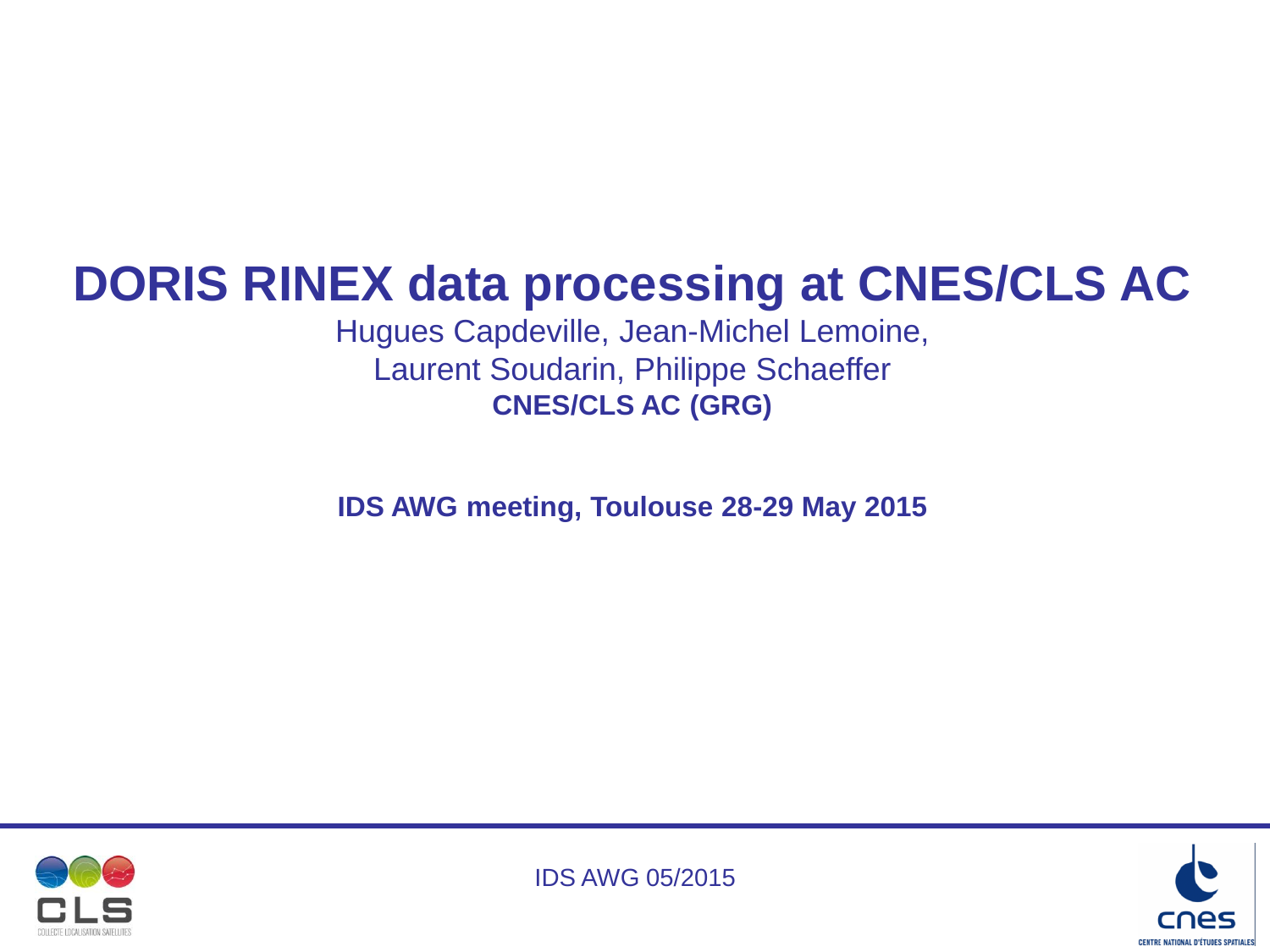# **DORIS RINEX data processing at CNES/CLS AC**

Hugues Capdeville, Jean-Michel Lemoine, Laurent Soudarin, Philippe Schaeffer **CNES/CLS AC (GRG)**

**IDS AWG meeting, Toulouse 28-29 May 2015**





IDS AWG 05/2015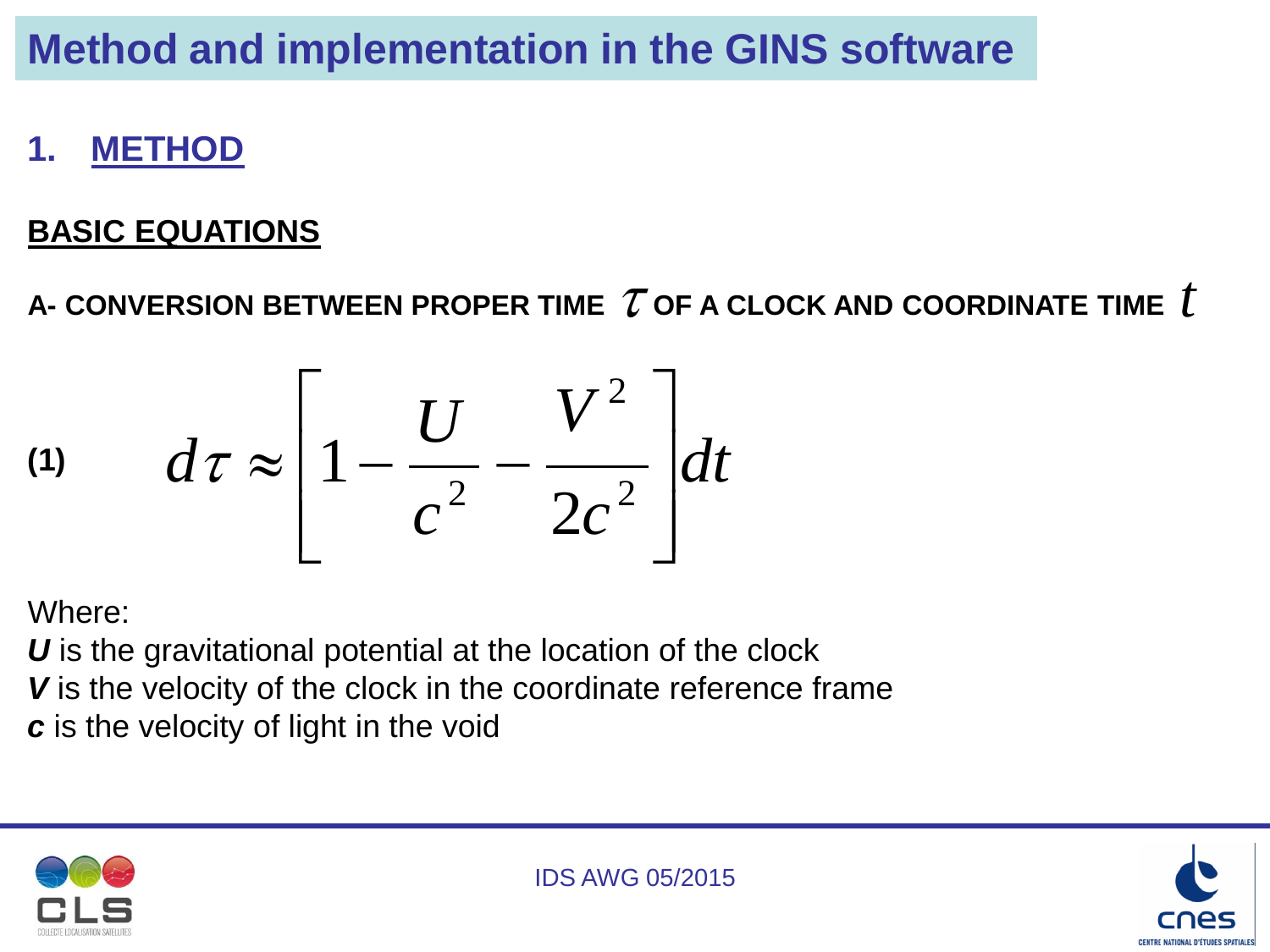### **1. METHOD**

#### **BASIC EQUATIONS**

A- CONVERSION BETWEEN PROPER TIME  $\mathcal T$  of a CLOCK AND COORDINATE TIME  $\,t$ 

$$
(1) \qquad d\tau \approx \left[1 - \frac{U}{c^2} - \frac{V^2}{2c^2}\right] dt
$$

Where:

*U* is the gravitational potential at the location of the clock *V* is the velocity of the clock in the coordinate reference frame *c* is the velocity of light in the void



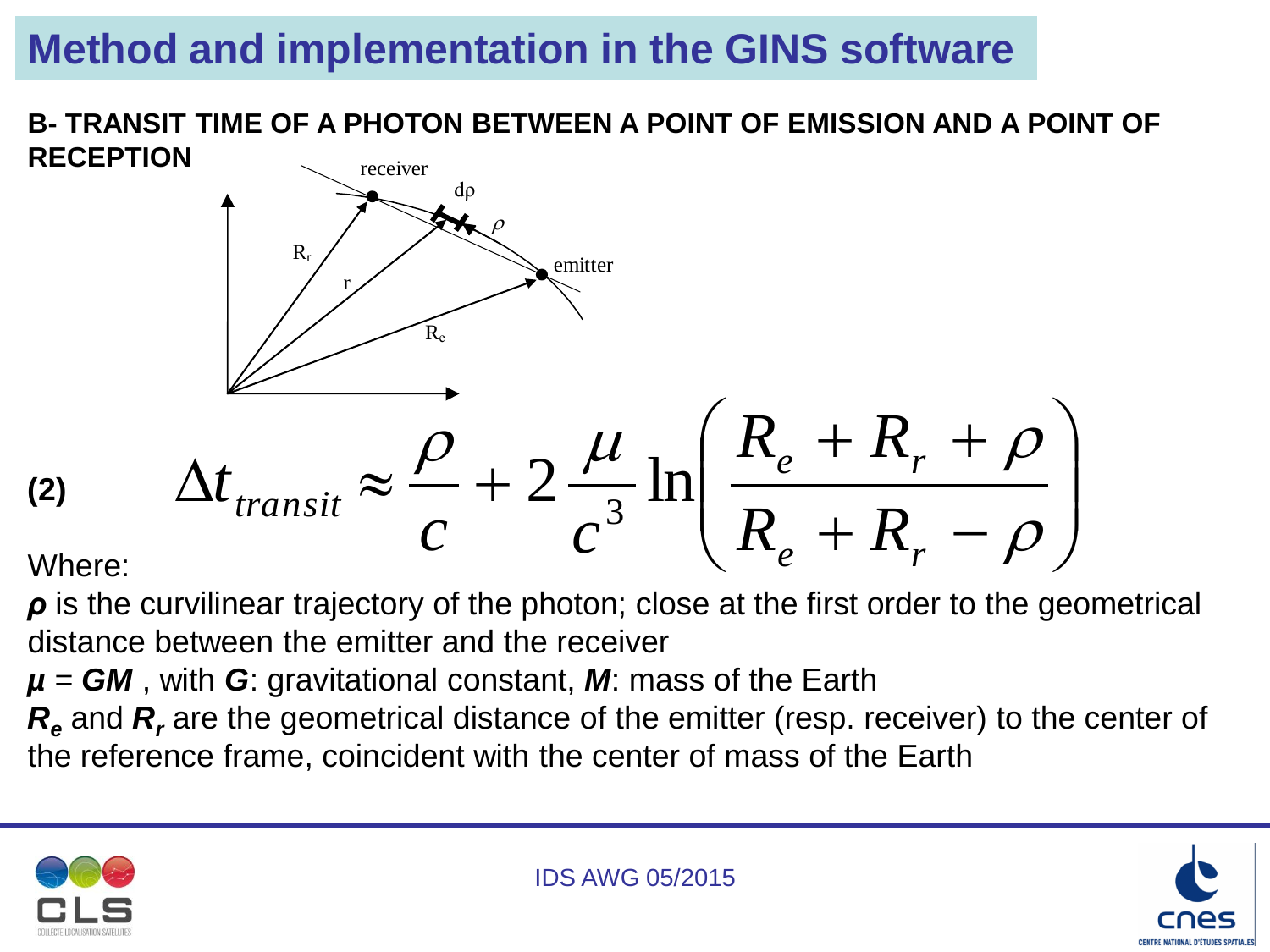**B- TRANSIT TIME OF A PHOTON BETWEEN A POINT OF EMISSION AND A POINT OF RECEPTION**

$$
\sum_{\text{R}} \frac{P}{R_e}
$$
\n
$$
\sum_{\text{R}} \frac{P}{R_e}
$$
\n
$$
\sum_{\text{transit}} \approx \frac{P}{C} + 2 \frac{\mu}{c^3} \ln\left(\frac{R_e + R_r + \rho}{R_e + R_r - \rho}\right)
$$
\nWhere:

Where:

*ρ* is the curvilinear trajectory of the photon; close at the first order to the geometrical distance between the emitter and the receiver

*µ = GM* , with *G*: gravitational constant, *M*: mass of the Earth

*R<sup>e</sup>* and *R<sup>r</sup>* are the geometrical distance of the emitter (resp. receiver) to the center of the reference frame, coincident with the center of mass of the Earth



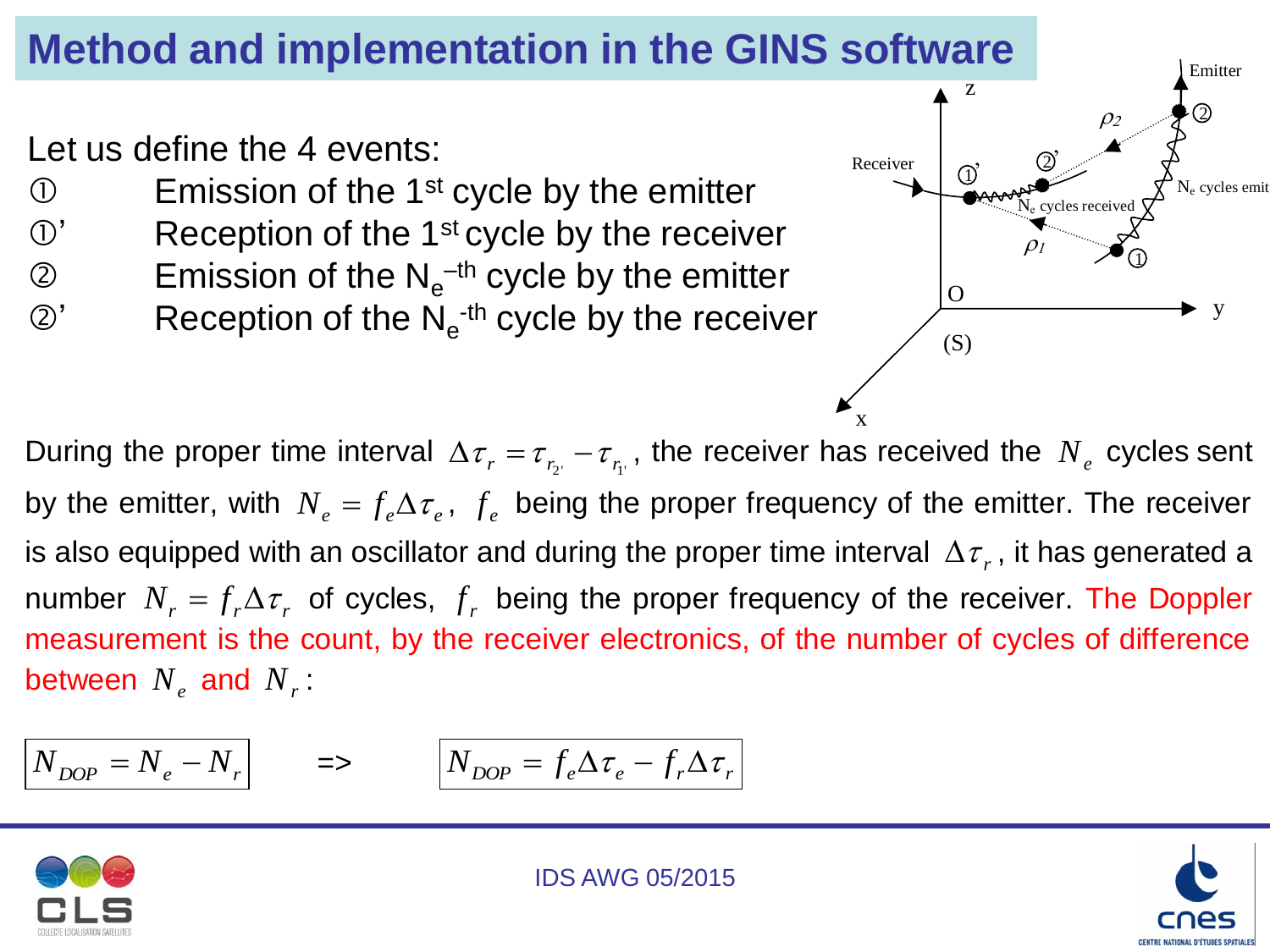Let us define the 4 events:

- $\mathbb D$  Emission of the 1<sup>st</sup> cycle by the emitter
- $\mathbb{O}'$  Reception of the 1<sup>st</sup> cycle by the receiver
- $\oslash$  Emission of the N<sub>e</sub><sup>-th</sup> cycle by the emitter
- $\oslash$ ' Reception of the N<sub>e</sub><sup>th</sup> cycle by the receiver



x

During the proper time interval  $\Delta \tau_r = \tau_{r_2} - \tau_{r_1}$ , the receiver has received the  $N_e$  cycles sent by the emitter, with  $N_e = f_e \Delta \tau_e$ ,  $f_e$  being the proper frequency of the emitter. The receiver is also equipped with an oscillator and during the proper time interval  $\Delta\tau_{r}$ , it has generated a number  $N_r = f_r \Delta \tau_r$  of cycles,  $f_r$  being the proper frequency of the receiver. The Doppler measurement is the count, by the receiver electronics, of the number of cycles of difference between  $N_e$  and  $N_r$ :

*NDOP N<sup>e</sup> N<sup>r</sup>* => *DOP <sup>e</sup> <sup>e</sup> <sup>r</sup> <sup>r</sup> N f f*



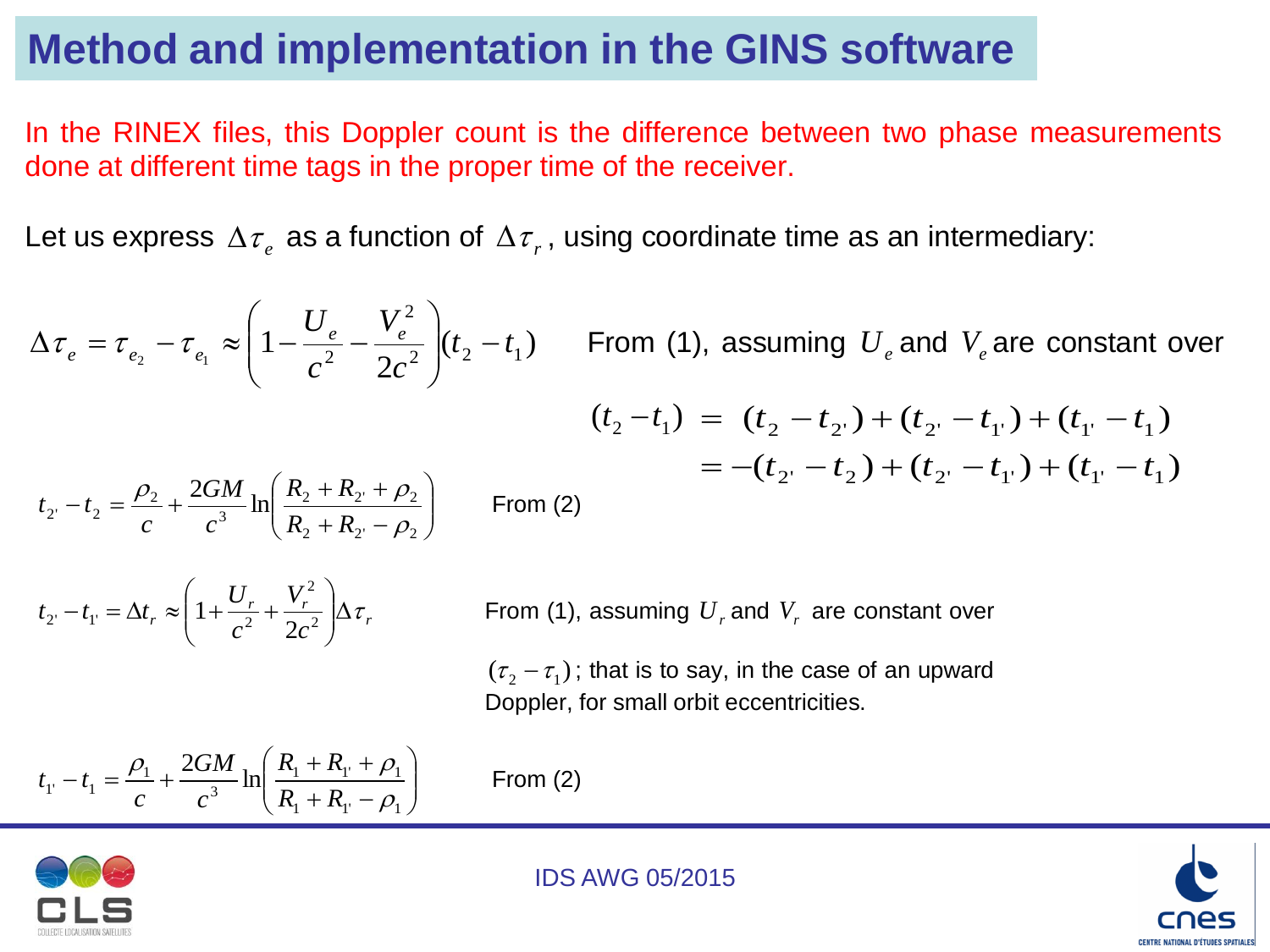In the RINEX files, this Doppler count is the difference between two phase measurements done at different time tags in the proper time of the receiver.

Let us express  $\Delta\tau_{e}$  as a function of  $\Delta\tau_{r}$ , using coordinate time as an intermediary:

 $(t_2 - t_1)$ 2  $1 - \frac{6}{a^2} - \frac{6}{2 a^2} (t_2 - t_1)$ 2  $\tau_{e_1} \approx \left(1 - \frac{\sigma_e}{c^2} - \frac{r_e}{2c^2}\right)(t_2 - t)$ *c V c*  $U_e$   $V_e^2$  $\tau_e = \tau_{e_2} - \tau_{e_1} \approx \left(1 - \frac{G_e}{c^2} - \frac{V_e}{2c^2}\right)(t_2 \overline{\phantom{a}}$  $\int$  $\setminus$  $\overline{\phantom{a}}$  $\mathsf{L}$  $\setminus$  $\bigg($  $\Delta\tau_e = \tau_{e_2} - \tau_{e_1} \approx \left(1 - \frac{C_e}{2} - \frac{V_e}{2}\right)$  ( $t_2 - t_1$ ) From (1), assuming  $U_e$  and  $V_e$  are constant over  $(t_2 - t_1) = (t_2 - t_2) + (t_2 - t_1) + (t_1 - t_1)$  $= -(t_2 - t_2) + (t_2 - t_1) + (t_1 - t_1)$  $\overline{\phantom{a}}$  $\int$  $\backslash$  $\overline{\phantom{a}}$  $\setminus$ ſ  $+ R_{2'} + R_{2'} +$  $-t_2 = \frac{\mu_2}{\mu_1} +$  $_2$   $\pi$   $_{2'}$   $\pi$   $_{2'}$ 2  $\mathbf{r}_2 \cdot \mathbf{r}_2$ 3 2  $t_2 - t_2 = \frac{\rho_2}{1} + \frac{2GM}{3} \ln \frac{2GM}{3}$  $\rho$  $\rho_2$  2GM  $_1$  | K<sub>2</sub> + K<sub>2</sub> +  $\rho$  $R_2 + R$  $R_2 + R$ *c GM c*  $t_{2} - t_{2} = \frac{P_{2}}{P_{1}} + \frac{2GM}{r_{1}} \ln \left| \frac{R_{2} + R_{2} + P_{2}}{R_{1}} \right|$  From (2) *r r r*  $r \sim \left( \frac{1}{c^2} \right)^{-1} 2c$ *V c U*  $t_2 - t_1 = \Delta t_r \approx \left(1 + \frac{U_r}{c^2} + \frac{V_r}{2c^2}\right) \Delta \tau$ J  $\setminus$  $\overline{\phantom{a}}$  $\setminus$ ſ  $-t_{1} = \Delta t_{r} \approx 1 + \frac{C_{r}}{a^{2}} + \frac{V_{r}}{2a^{2}}$ 2  $v_1 - \Delta v_r \sim \left(1 + \frac{c^2}{c^2} + \frac{c^2}{2}\right)$  $1 + \frac{U_r}{2} + \frac{V_r}{2} \Delta \tau_r$  From (1), assuming  $U_r$  and  $V_r$  are constant over

> $(\tau _2 - \tau _1)$ ; that is to say, in the case of an upward Doppler, for small orbit eccentricities.

$$
t_{1'} - t_{1} = \frac{\rho_{1}}{c} + \frac{2GM}{c^{3}} \ln \left( \frac{R_{1} + R_{1'} + \rho_{1}}{R_{1} + R_{1'} - \rho_{1}} \right)
$$

*From (2)* 



IDS AWG 05/2015

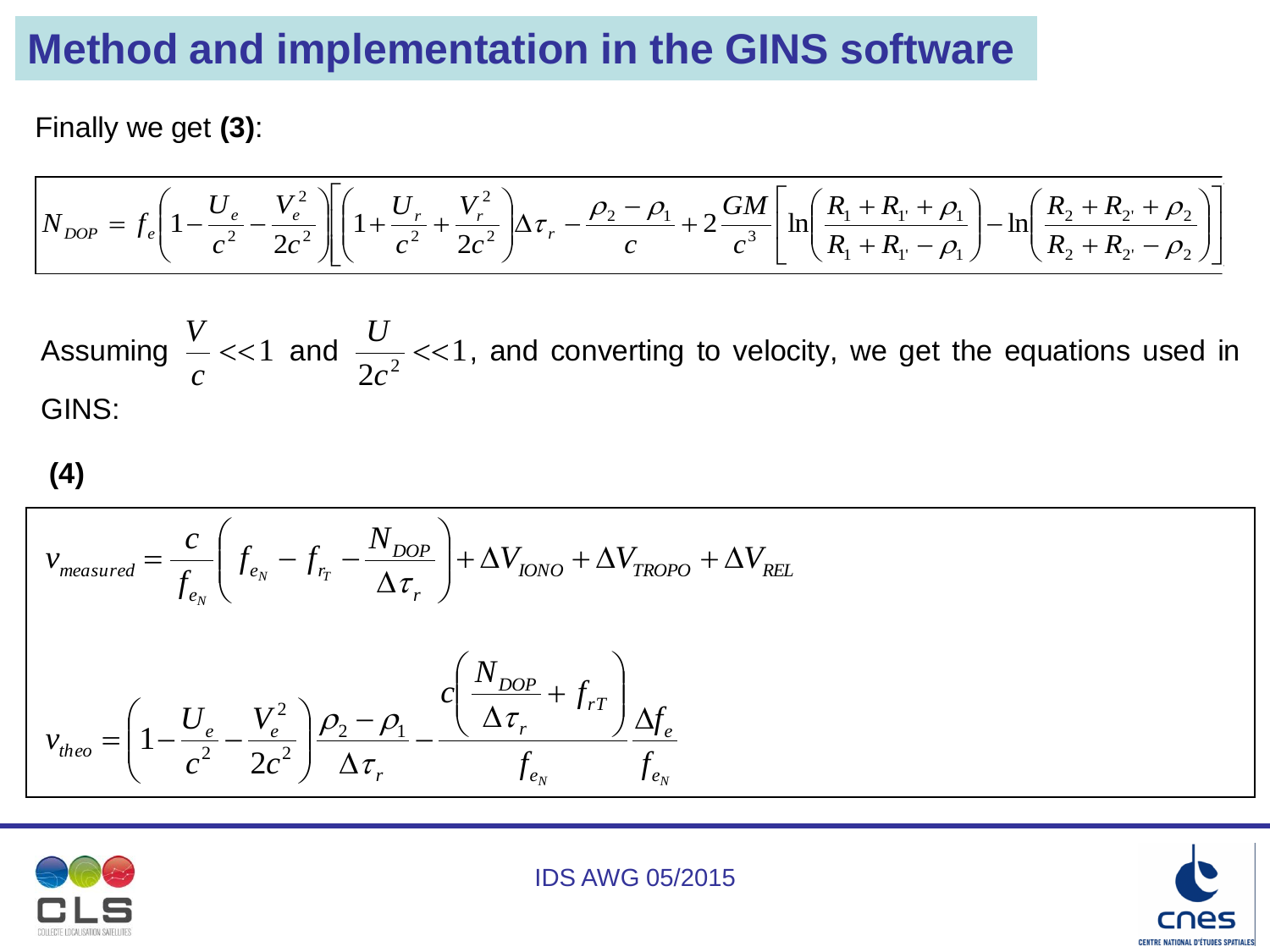Finally we get **(3)**:

$$
N_{DOP} = f_e \left( 1 - \frac{U_e}{c^2} - \frac{V_e^2}{2c^2} \right) \left[ \left( 1 + \frac{U_r}{c^2} + \frac{V_r^2}{2c^2} \right) \Delta \tau_r - \frac{\rho_2 - \rho_1}{c} + 2 \frac{GM}{c^3} \left[ \ln \left( \frac{R_1 + R_{\rm l} + \rho_1}{R_1 + R_{\rm l} - \rho_1} \right) - \ln \left( \frac{R_2 + R_{\rm l} + \rho_2}{R_2 + R_{\rm l} - \rho_2} \right) \right] \right]
$$

Assuming  $\sim << 1$ *c V* and  $\frac{0}{2}$  < 1  $\frac{c}{2c^2}$  << *c U* , and converting to velocity, we get the equations used in GINS:

**(4)**

$$
v_{measured} = \frac{c}{f_{e_N}} \left( f_{e_N} - f_{r_T} - \frac{N_{DOP}}{\Delta \tau_r} \right) + \Delta V_{IDNO} + \Delta V_{TROPO} + \Delta V_{REL}
$$
  

$$
v_{theo} = \left( 1 - \frac{U_e}{c^2} - \frac{V_e^2}{2c^2} \right) \frac{\rho_2 - \rho_1}{\Delta \tau_r} - \frac{c \left( \frac{N_{DOP}}{\Delta \tau_r} + f_{rT} \right)}{f_{e_N}} \frac{\Delta f_e}{f_{e_N}}
$$



IDS AWG 05/2015

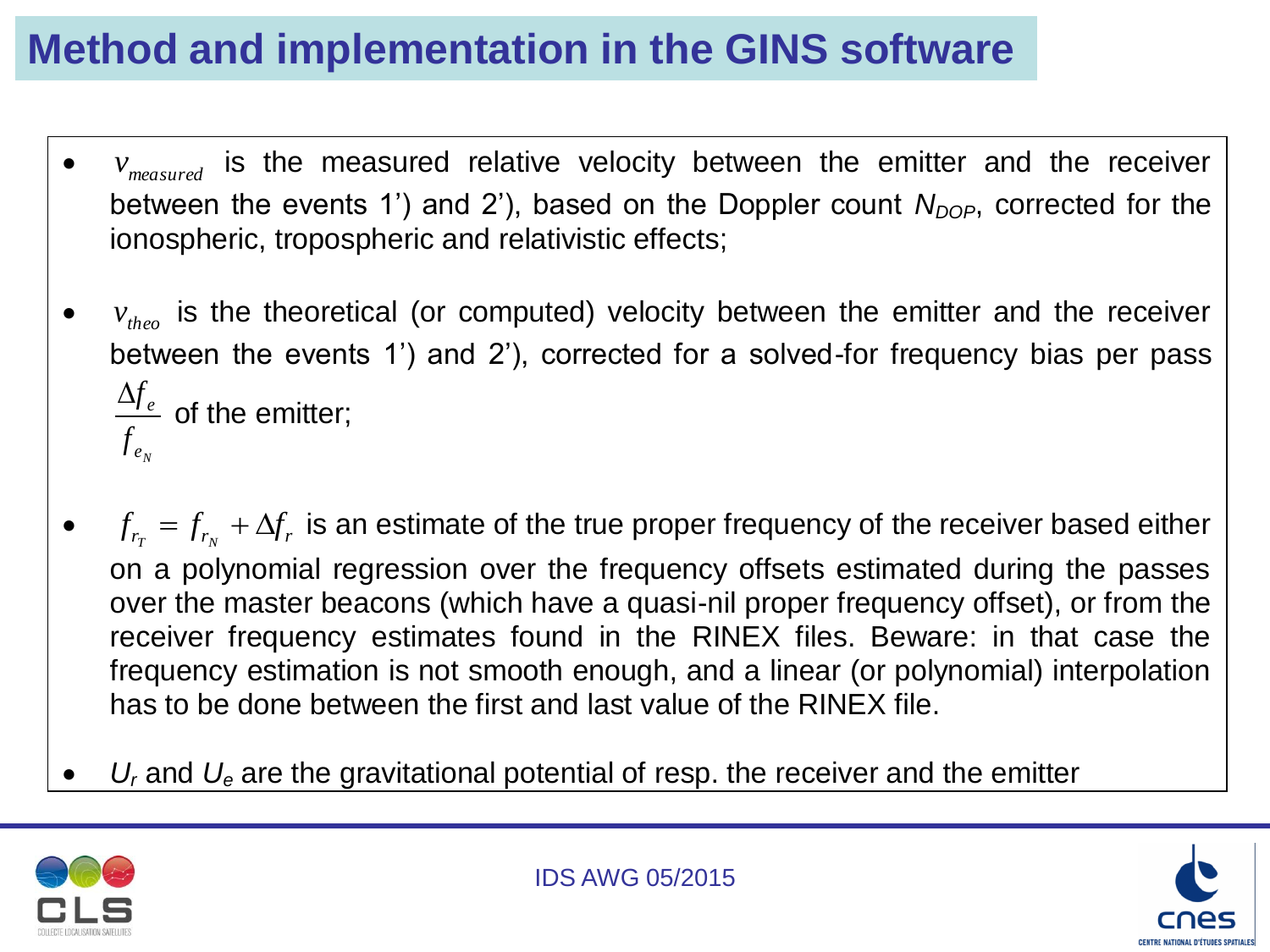- $\bullet$ *v*<sub>measured</sub> is the measured relative velocity between the emitter and the receiver between the events 1') and 2'), based on the Doppler count *N<sub>DOP</sub>*, corrected for the ionospheric, tropospheric and relativistic effects;
- $v_{\text{theo}}$  is the theoretical (or computed) velocity between the emitter and the receiver between the events 1') and 2'), corrected for a solved-for frequency bias per pass  $f_{e_{\scriptscriptstyle N}}^{\phantom{\dagger}}$  $\Delta f_e^+$ of the emitter;
- $f_{r_T} = f_{r_N} + \Delta f_r$  is an estimate of the true proper frequency of the receiver based either on a polynomial regression over the frequency offsets estimated during the passes over the master beacons (which have a quasi-nil proper frequency offset), or from the receiver frequency estimates found in the RINEX files. Beware: in that case the frequency estimation is not smooth enough, and a linear (or polynomial) interpolation has to be done between the first and last value of the RINEX file.
- *U<sup>r</sup>* and *U<sup>e</sup>* are the gravitational potential of resp. the receiver and the emitter



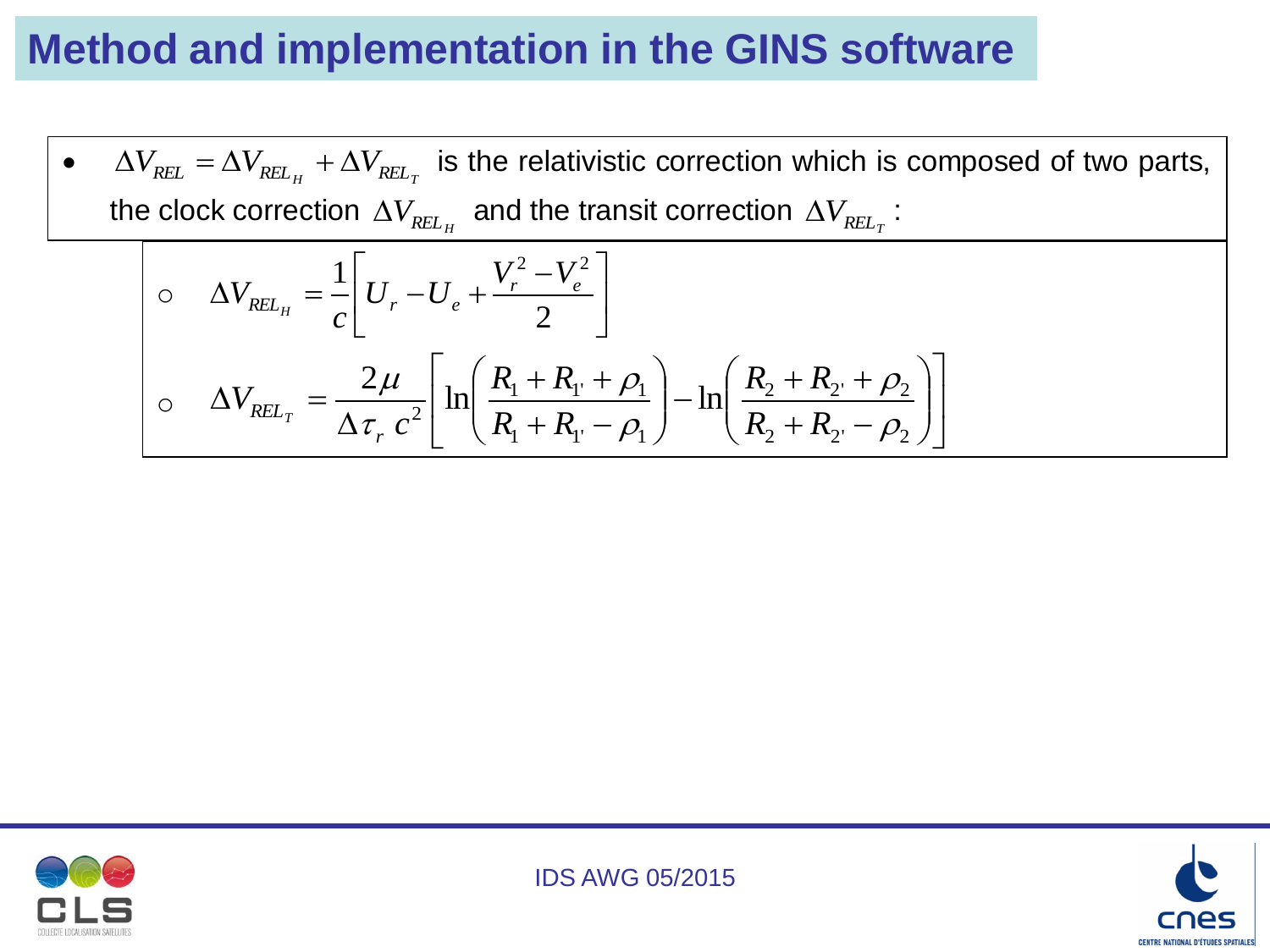•  $\Delta V_{REL} = \Delta V_{REL_H} + \Delta V_{REL_T}$  is the relativistic correction which is composed of two parts, the clock correction  $\Delta V_{REL_H}^{\phantom{Z}}$  and the transit correction  $\Delta V_{REL_T}^{\phantom{Z}}$  :  $\Delta V_{REL_H} = -\frac{1}{2} U_r - U_e + \frac{V_r - V_e}{2}$  $\rfloor$  $\overline{\phantom{a}}$  $\mathbf{r}$ L  $\vert V_r \vert V_r^2$  –  $\Delta V_{\substack{F\vert L,\cdots}} = -\left| U_{\substack{r}} - U_{\substack{A}} + \right|$ 2  $1\vert_{U} = \vert V_r^2 - V_e^2$ *r e*  $REL_{H}$   $\bigcup_{r}$   $\bigcup_{e}$  $V_r^2-V$  $U_r$ <sup>-U</sup> *c*  $V_{\mathit{REL}_H}$  $\sigma \Delta V_{REL_T} = \frac{-r}{\Delta - c^2} \ln \left| \frac{r_1 - r_1 + r_1}{R + R} \right| - \ln \left| \frac{r_2 - r_2 + r_2}{R + R} \right|$  $\overline{\phantom{a}}$  $\overline{\phantom{a}}$ L L  $\mathbf{r}$  $\overline{\phantom{a}}$  $\overline{\phantom{a}}$  $\int$  $\setminus$  $\overline{\phantom{a}}$  $\overline{\phantom{a}}$  $\setminus$  $\bigg($  $+ R_{2}$ .  $+ R_{2}$  +  $\vert$  $\int$  $\backslash$  $\overline{\phantom{a}}$  $\overline{\phantom{a}}$  $\setminus$  $\bigg($  $+ R_{1'} + R_{1}$  $\Delta$  $\Delta V_{\scriptscriptstyle{RFL_{x}}} =$  $_2$   $\top$   $N_2'$   $\top$   $p_2$  $_2$   $\top$   $\mathbf{A}_{2'}$   $\top$   $\mathbf{\mu}_{2}$  $_{1}$  +  $\mathbf{r}_{1'}$  –  $\mathbf{\mu}_{1}$  $\mathbf{1}$   $\mathbf{1}$   $\mathbf{1}$   $\mathbf{1}$   $\mathbf{1}$   $\mathbf{1}$   $\mathbf{1}$   $\mathbf{1}$  $\frac{2\mu}{\sigma e^2}$   $\ln \left( \frac{R_1 + R_{1} + \rho_1}{R_1 + R_2 + \rho_2} \right) - \ln \frac{2\mu}{\sigma}$  $\rho_{\scriptscriptstyle \ell}$  $\rho_{\scriptscriptstyle\ell}$  $\rho_{\scriptscriptstyle \Vert}$  $\rho_{\scriptscriptstyle \Vert}$  $\tau$  $\mu$  $R_2 + R$  $R_2 + R$  $R_{1} + R$  $R_{1} + R$ *c V r REL<sup>T</sup>*



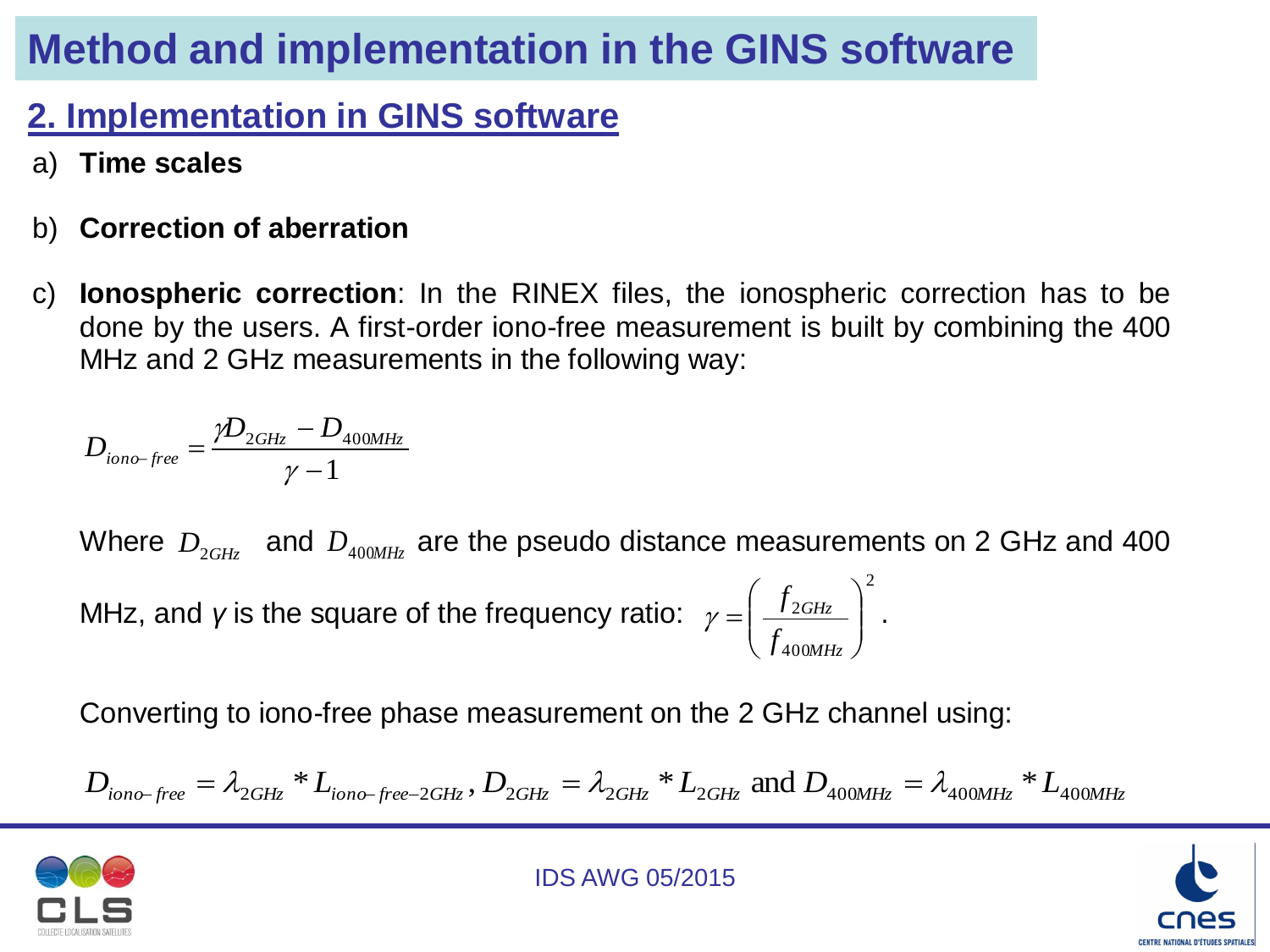### **2. Implementation in GINS software**

- a) **Time scales**
- b) **Correction of aberration**
- c) **Ionospheric correction**: In the RINEX files, the ionospheric correction has to be done by the users. A first-order iono-free measurement is built by combining the 400 MHz and 2 GHz measurements in the following way:

$$
D_{iono-free} = \frac{\gamma D_{2GHz} - D_{400MHz}}{\gamma - 1}
$$

Where  $\,D_{_{2GHz}}\,$  and  $\,D_{_{400MHz}}$  are the pseudo distance measurements on 2 GHz and 400  $\,$ MHz, and *γ* is the square of the frequency ratio: 2 400  $\frac{2GHz}{2}$  $\int$  $\setminus$  $\overline{\phantom{a}}$  $\setminus$  $\bigg($  $=$ *MHz GHz f f*  $\gamma = \frac{J_2 G H_z}{a}$ .

Converting to iono-free phase measurement on the 2 GHz channel using:

$$
D_{iono-free} = \lambda_{2GHz} * L_{iono-free-2GHz}, D_{2GHz} = \lambda_{2GHz} * L_{2GHz} \text{ and } D_{400MHz} = \lambda_{400MHz} * L_{400MHz}
$$



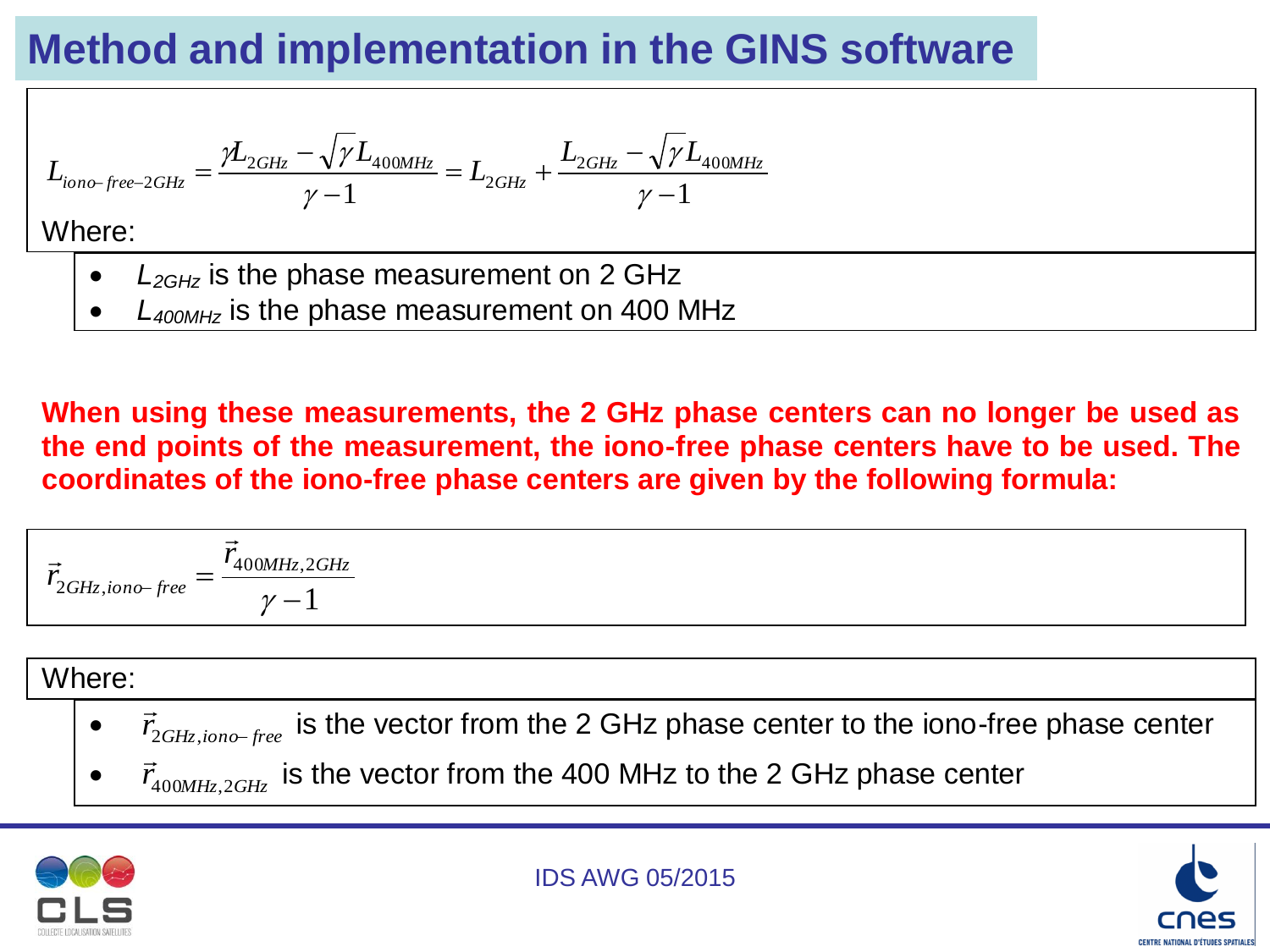$$
L_{iono-free-2GHz} = \frac{\gamma L_{2GHz} - \sqrt{\gamma L_{400MHz}}}{\gamma - 1} = L_{2GHz} + \frac{L_{2GHz} - \sqrt{\gamma L_{400MHz}}}{\gamma - 1}
$$

Where:

- *L2GHz* is the phase measurement on 2 GHz
- *L400MHz* is the phase measurement on 400 MHz

**When using these measurements, the 2 GHz phase centers can no longer be used as the end points of the measurement, the iono-free phase centers have to be used. The coordinates of the iono-free phase centers are given by the following formula:**

$$
\vec{r}_{2GHz,iono-free} = \frac{\vec{r}_{400MHz,2GHz}}{\gamma - 1}
$$

#### Where:

- $\bullet$  $\vec{r}_{2GHz,iono-free}$  $\rightarrow$ is the vector from the 2 GHz phase center to the iono-free phase center
- $\bullet$  $\vec{r}_{400MHz,2GHz}$  $\frac{4}{11}$ is the vector from the 400 MHz to the 2 GHz phase center



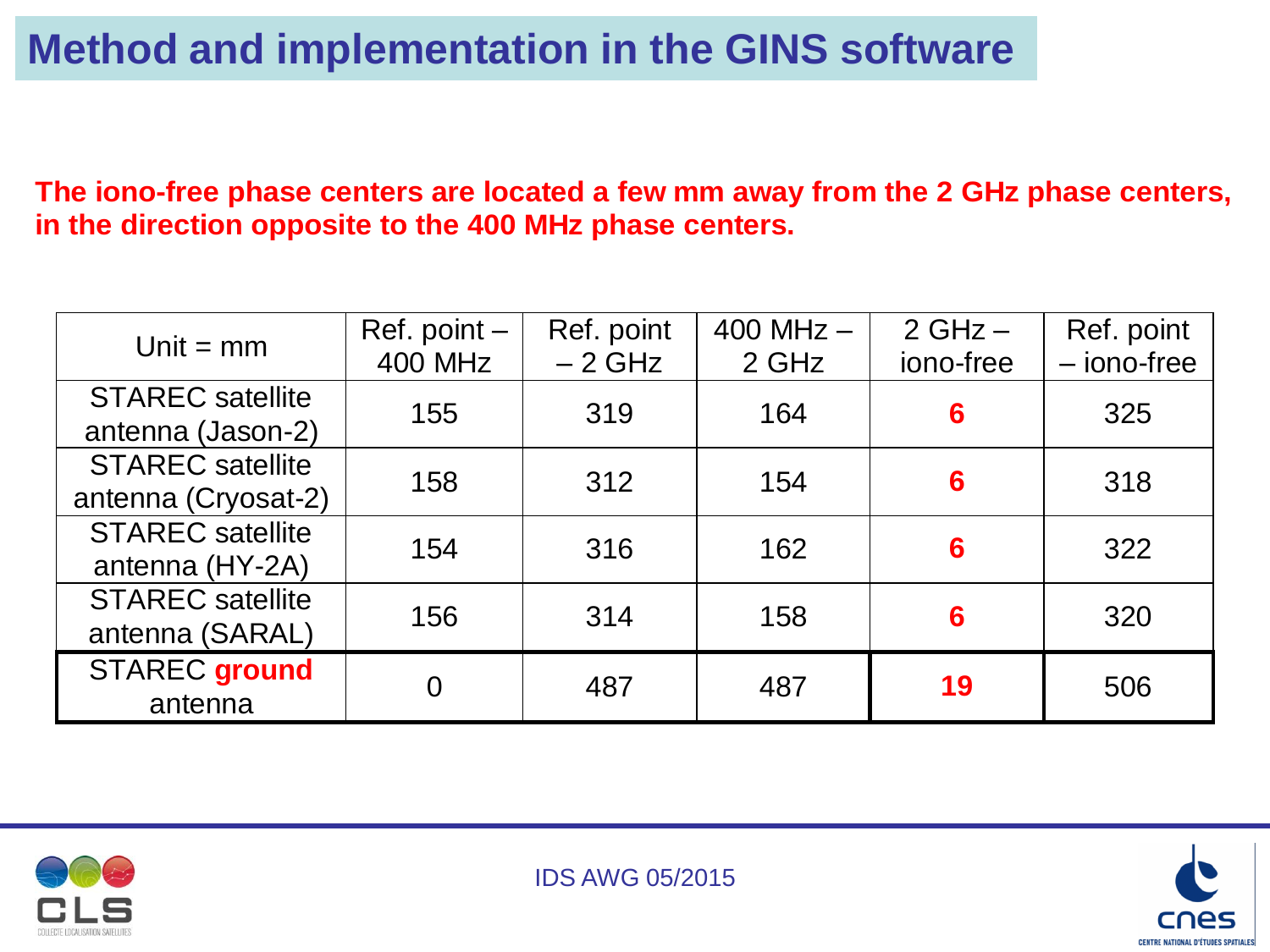**The iono-free phase centers are located a few mm away from the 2 GHz phase centers, in the direction opposite to the 400 MHz phase centers.** 

| Unit $=$ mm                                    | Ref. point $-$<br><b>400 MHz</b> | Ref. point<br>$-2$ GHz | $400$ MHz $-$<br>2 GHz | $2 GHz -$<br>iono-free | Ref. point<br>- iono-free |
|------------------------------------------------|----------------------------------|------------------------|------------------------|------------------------|---------------------------|
| <b>STAREC</b> satellite<br>antenna (Jason-2)   | 155                              | 319                    | 164                    | 6                      | 325                       |
| <b>STAREC</b> satellite<br>antenna (Cryosat-2) | 158                              | 312                    | 154                    | 6                      | 318                       |
| <b>STAREC</b> satellite<br>antenna (HY-2A)     | 154                              | 316                    | 162                    | 6                      | 322                       |
| <b>STAREC</b> satellite<br>antenna (SARAL)     | 156                              | 314                    | 158                    | 6                      | 320                       |
| <b>STAREC</b> ground<br>antenna                | 0                                | 487                    | 487                    | 19                     | 506                       |





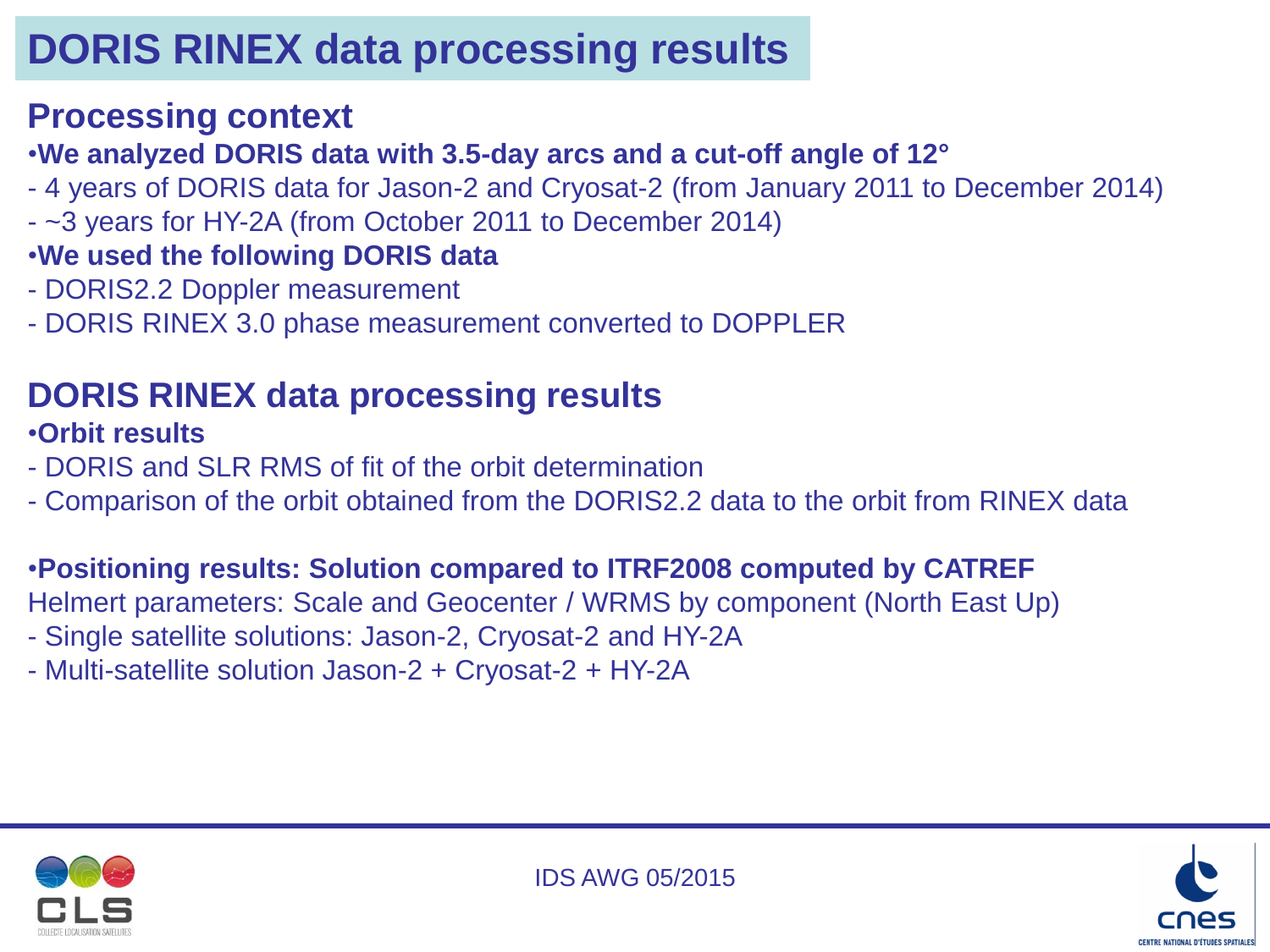#### **Processing context**

#### •**We analyzed DORIS data with 3.5-day arcs and a cut-off angle of 12°**

- 4 years of DORIS data for Jason-2 and Cryosat-2 (from January 2011 to December 2014)
- ~3 years for HY-2A (from October 2011 to December 2014)
- •**We used the following DORIS data**
- DORIS2.2 Doppler measurement
- DORIS RINEX 3.0 phase measurement converted to DOPPLER

### **DORIS RINEX data processing results**

#### •**Orbit results**

- DORIS and SLR RMS of fit of the orbit determination
- Comparison of the orbit obtained from the DORIS2.2 data to the orbit from RINEX data

#### •**Positioning results: Solution compared to ITRF2008 computed by CATREF**

Helmert parameters: Scale and Geocenter / WRMS by component (North East Up)

- Single satellite solutions: Jason-2, Cryosat-2 and HY-2A
- Multi-satellite solution Jason-2 + Cryosat-2 + HY-2A



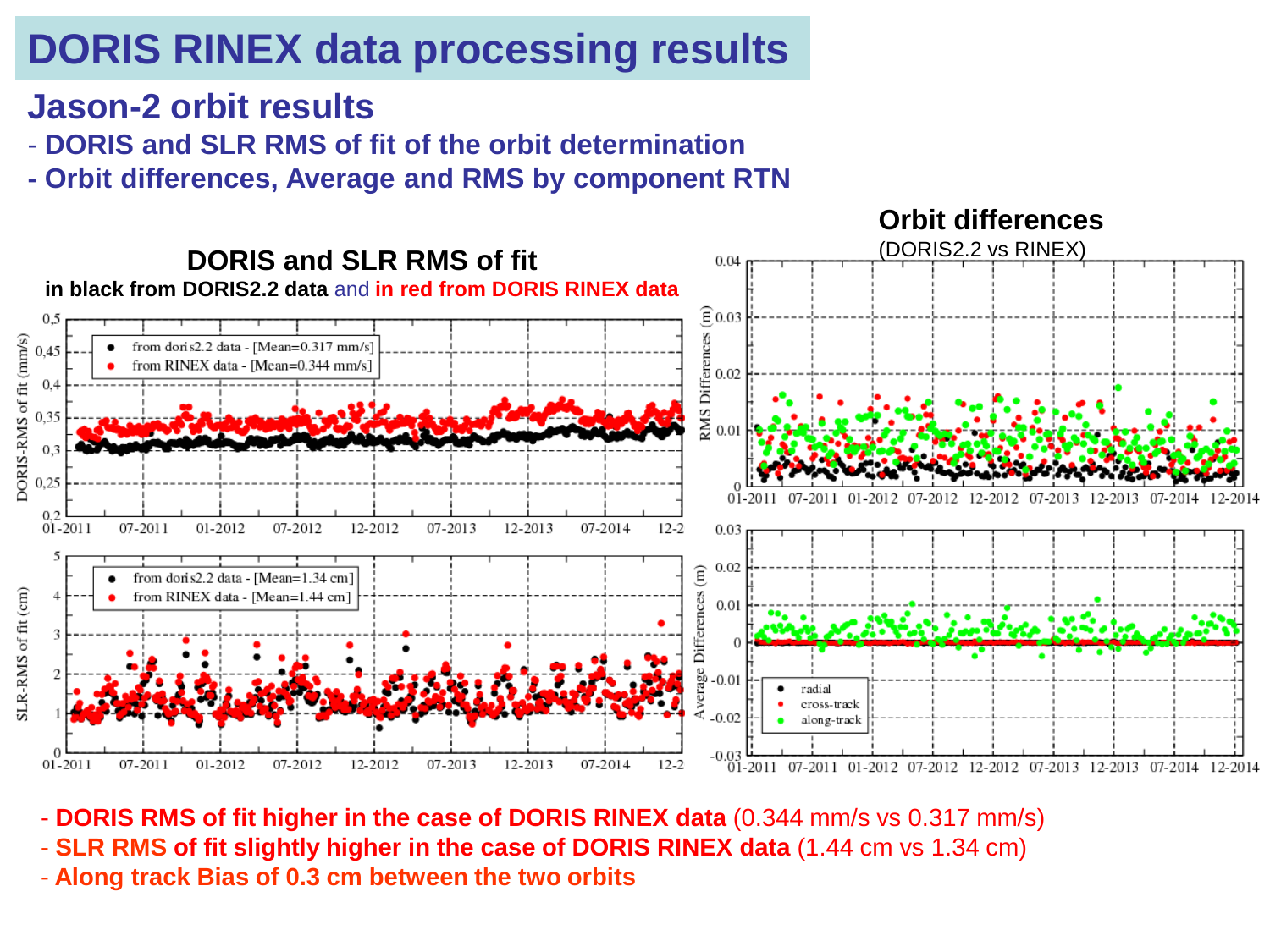#### **Jason-2 orbit results**

- **DORIS and SLR RMS of fit of the orbit determination**
- **- Orbit differences, Average and RMS by component RTN**



- **DORIS RMS of fit higher in the case of DORIS RINEX data** (0.344 mm/s vs 0.317 mm/s)
- **SLR RMS of fit slightly higher in the case of DORIS RINEX data** (1.44 cm vs 1.34 cm)
- Along track Bias of 0.3 cm between the two orbits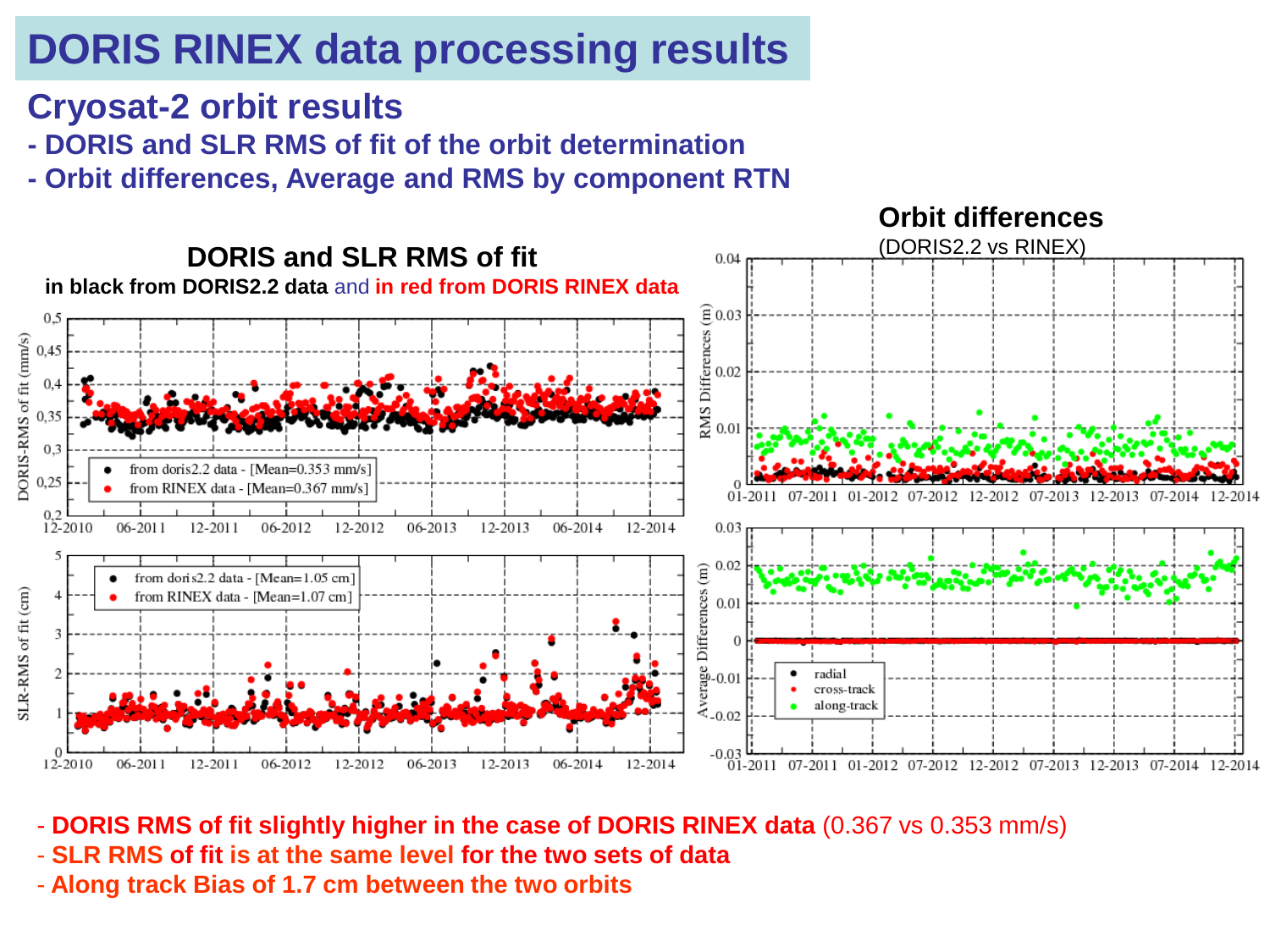#### **Cryosat-2 orbit results**

- **- DORIS and SLR RMS of fit of the orbit determination**
- **- Orbit differences, Average and RMS by component RTN**



- **DORIS RMS of fit slightly higher in the case of DORIS RINEX data** (0.367 vs 0.353 mm/s)
- **SLR RMS of fit is at the same level for the two sets of data**
- Along track Bias of 1.7 cm between the two orbits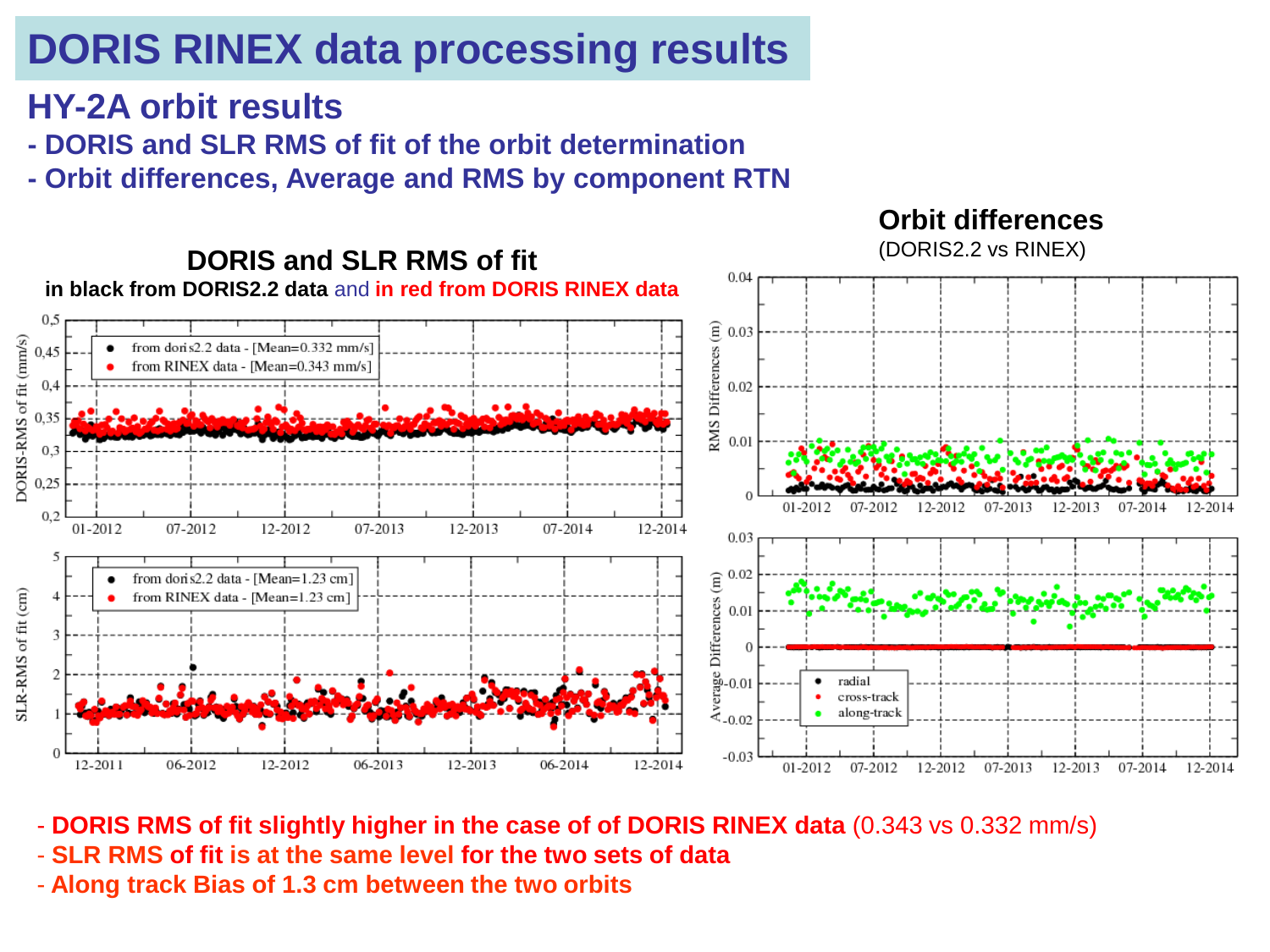#### **HY-2A orbit results**

- **- DORIS and SLR RMS of fit of the orbit determination**
- **- Orbit differences, Average and RMS by component RTN**



- **DORIS RMS of fit slightly higher in the case of of DORIS RINEX data** (0.343 vs 0.332 mm/s)
- **SLR RMS of fit is at the same level for the two sets of data**
- Along track Bias of 1.3 cm between the two orbits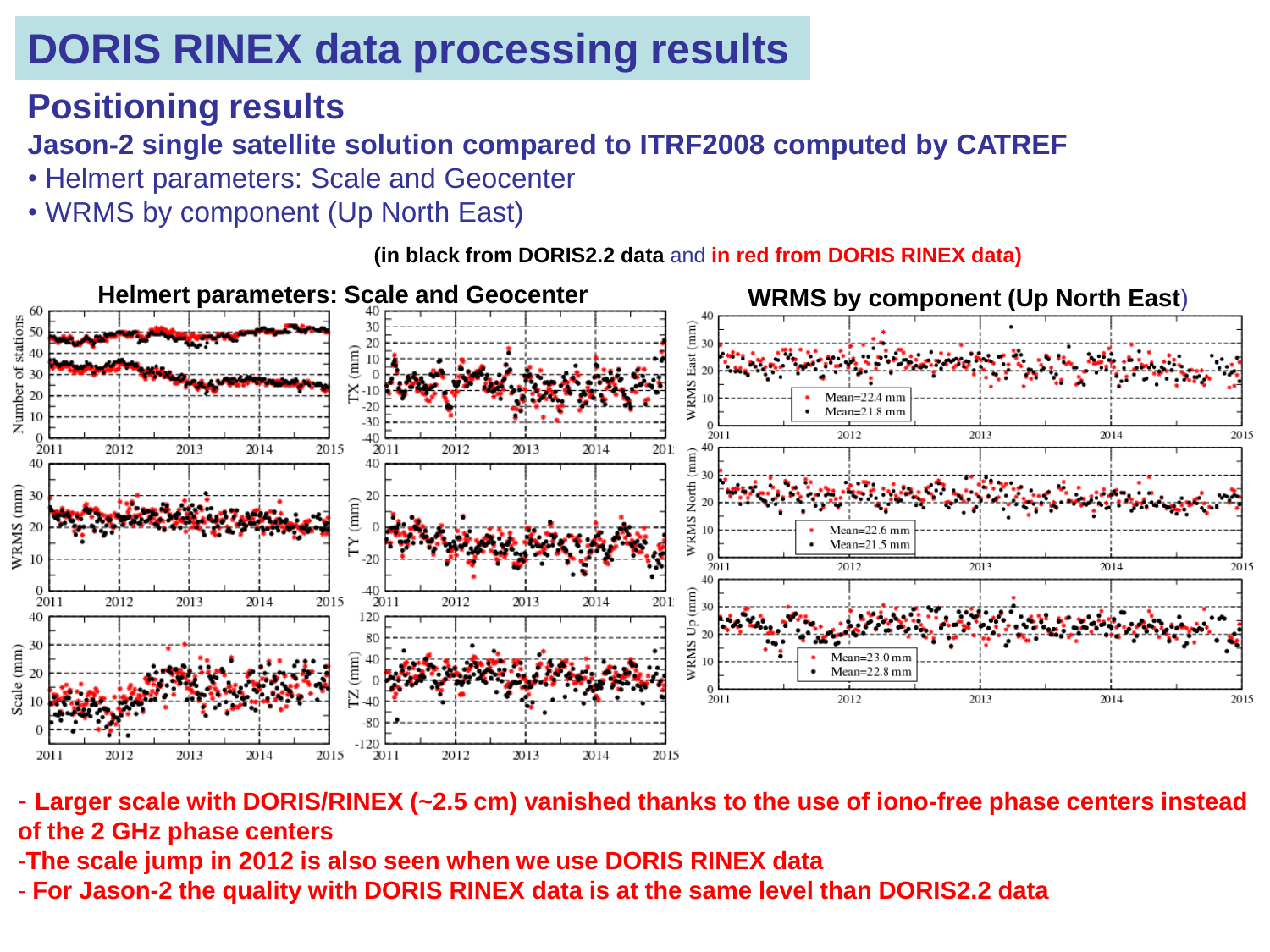#### **Positioning results**

#### **Jason-2 single satellite solution compared to ITRF2008 computed by CATREF**

- Helmert parameters: Scale and Geocenter
- WRMS by component (Up North East)

**(in black from DORIS2.2 data** and **in red from DORIS RINEX data)**



- **Larger scale with DORIS/RINEX (~2.5 cm) vanished thanks to the use of iono-free phase centers instead of the 2 GHz phase centers** 

-**The scale jump in 2012 is also seen when we use DORIS RINEX data** 

AWG 05/2015 - **For Jason-2 the quality with DORIS RINEX data is at the same level than DORIS2.2 data**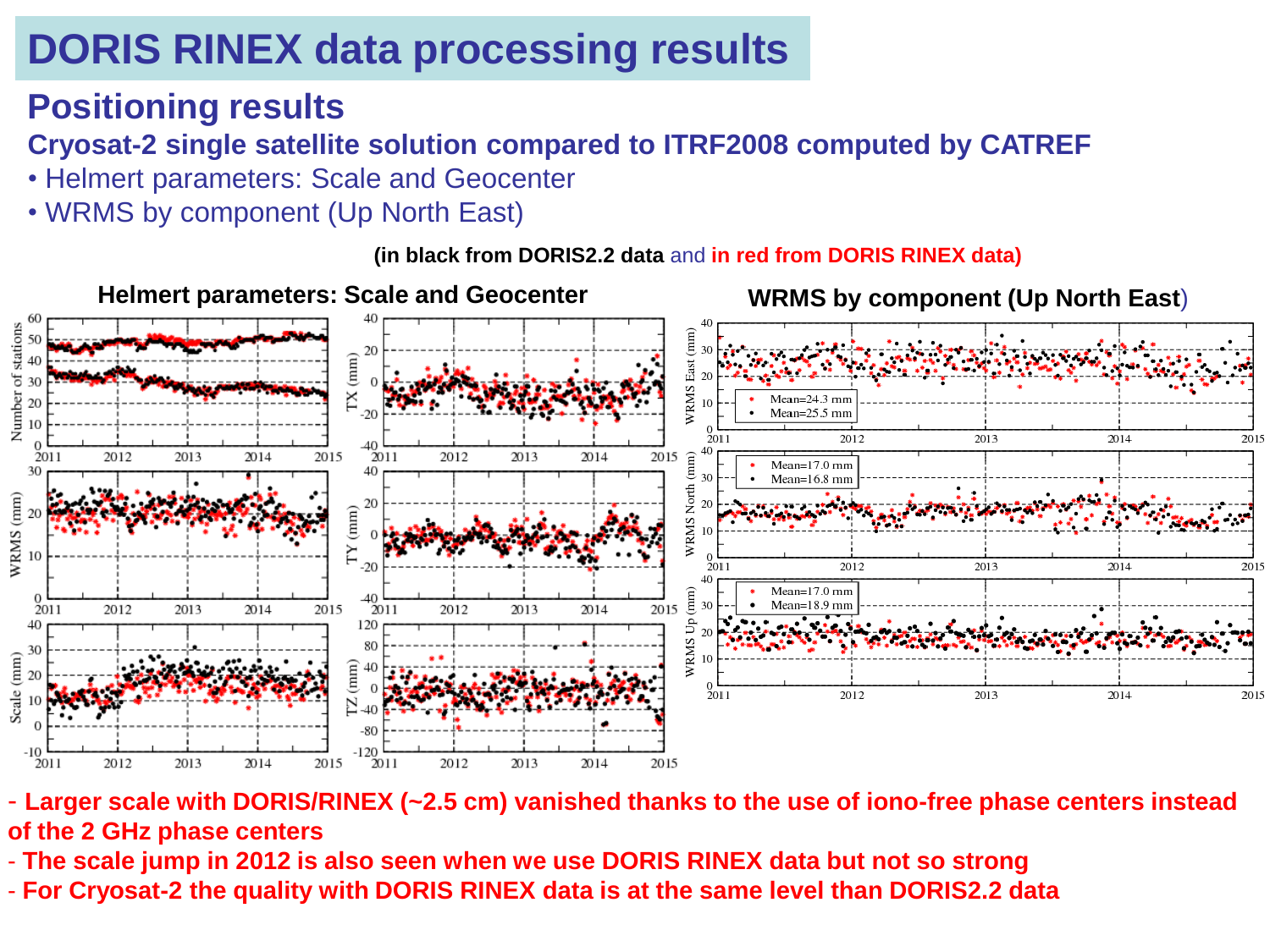#### **Positioning results**

#### **Cryosat-2 single satellite solution compared to ITRF2008 computed by CATREF**

- Helmert parameters: Scale and Geocenter
- WRMS by component (Up North East)

**(in black from DORIS2.2 data** and **in red from DORIS RINEX data)**



- **Larger scale with DORIS/RINEX (~2.5 cm) vanished thanks to the use of iono-free phase centers instead of the 2 GHz phase centers**
- **The scale jump in 2012 is also seen when we use DORIS RINEX data but not so strong**
- AWG 05/2015 **For Cryosat-2 the quality with DORIS RINEX data is at the same level than DORIS2.2 data**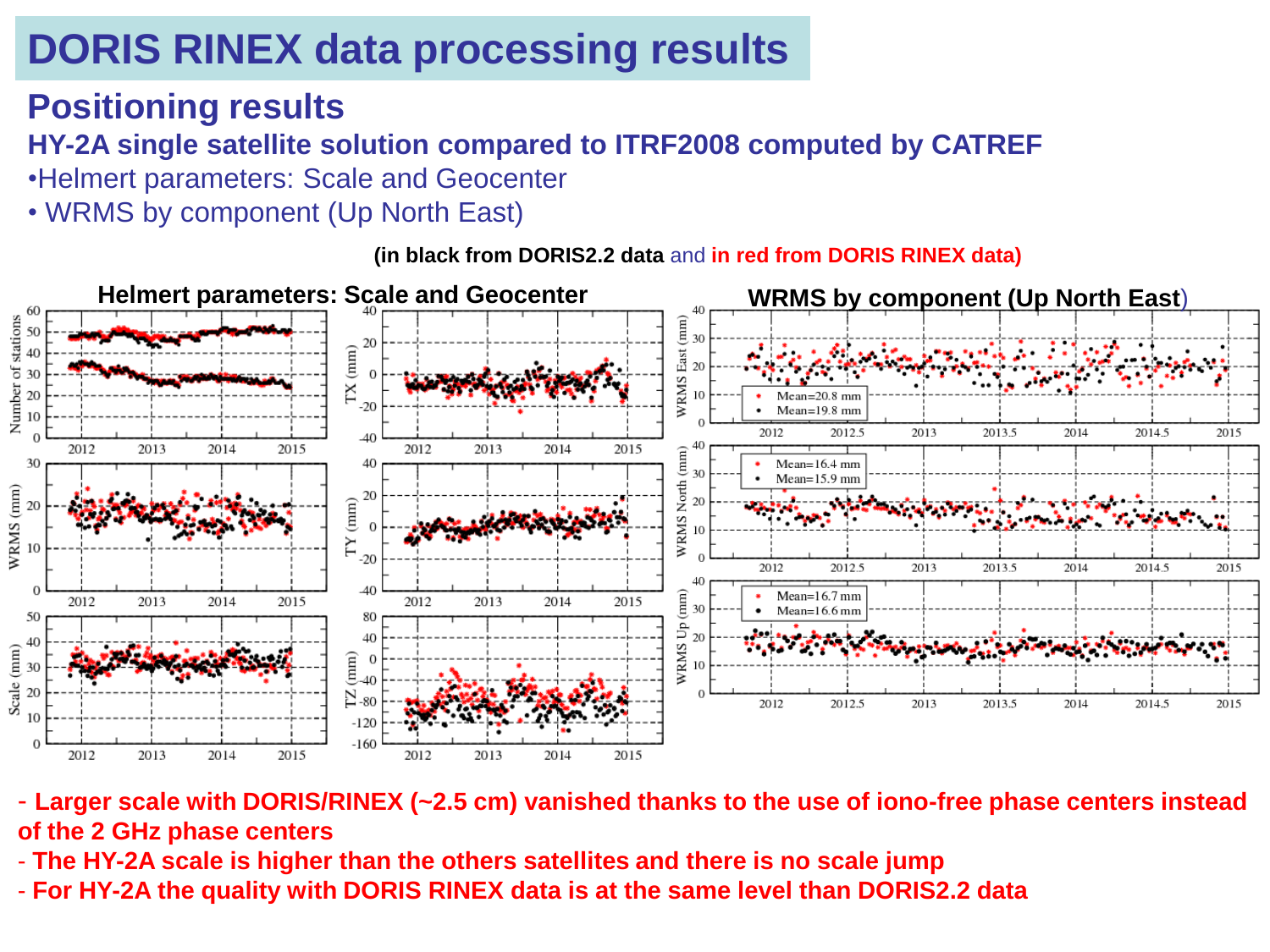#### **Positioning results**

#### **HY-2A single satellite solution compared to ITRF2008 computed by CATREF**

- •Helmert parameters: Scale and Geocenter
- WRMS by component (Up North East)

**Helmert parameters: Scale and Geocenter WRMS by component (Up North East**) of stations  $2($ TX (mm) 30 WRMS Number 20  $10$  $-20$  $Mean=19.8$  mm -10 2012.5 2013 2013.5 2014 2014.5 2015 2012  $-40$ 2012 2013 2014 2015 2012 2013 2014 2015  $-40$ WRMS North (mm)<br> $\frac{8}{5}$   $\frac{8}{5}$   $\frac{4}{5}$ 30 40  $Mean=16.4$  mm  $Mean=15.9$  mm WRMS (mm) 20  $TY(mm)$ 20  $-20$ 2012 2013 2012.5 2013.5 2014 2014.5 2015 40  $-40$  $(mm)$  $Mean=16.7$  mm 2012 2013 2014 2015 2012 2013 2014 2015 30 Mean=16.6 mm 50 80 WRMS Up 40 20  $4($ Scale (mm)  $(mm)$  $\Omega$ 20 Σ  $-80$ 2012 2012.5 2013 2013.5 2014 2014.5 2015  $-120$  $-160$ 2012 2013 2014 2015 2012 2013 2014 2015

**(in black from DORIS2.2 data** and **in red from DORIS RINEX data)**

- **Larger scale with DORIS/RINEX (~2.5 cm) vanished thanks to the use of iono-free phase centers instead of the 2 GHz phase centers**
- **The HY-2A scale is higher than the others satellites and there is no scale jump**
- AWG 05/2015 **For HY-2A the quality with DORIS RINEX data is at the same level than DORIS2.2 data**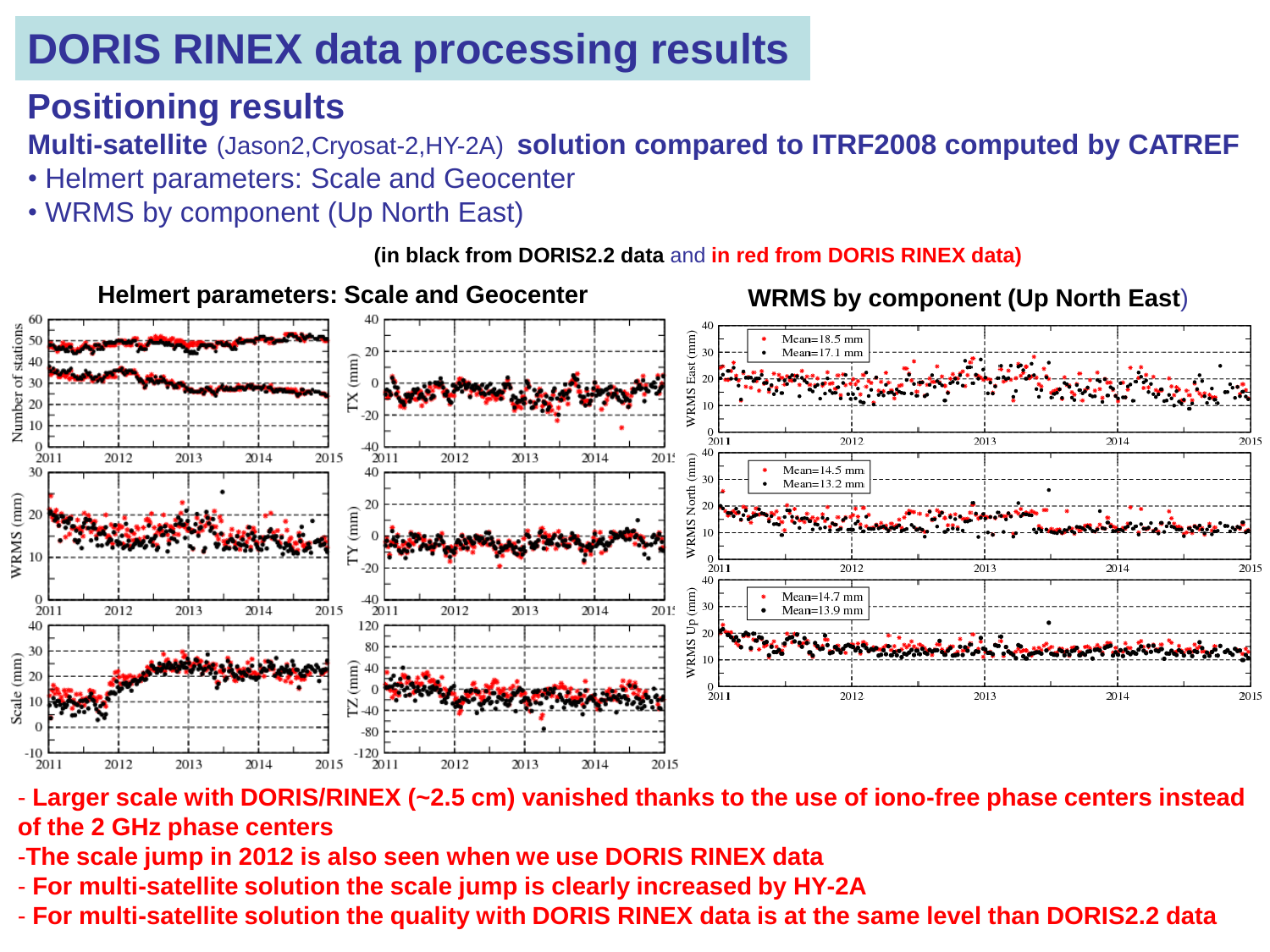#### **Positioning results**

**Multi-satellite** (Jason2,Cryosat-2,HY-2A) **solution compared to ITRF2008 computed by CATREF**

- Helmert parameters: Scale and Geocenter
- WRMS by component (Up North East)

**(in black from DORIS2.2 data** and **in red from DORIS RINEX data)**



- **Larger scale with DORIS/RINEX (~2.5 cm) vanished thanks to the use of iono-free phase centers instead of the 2 GHz phase centers** 

-**The scale jump in 2012 is also seen when we use DORIS RINEX data** 

- For multi-satellite solution the scale jump is clearly increased by HY-2A
- **For multi-satellite solution the quality with DORIS RINEX data is at the same level than DORIS2.2 data**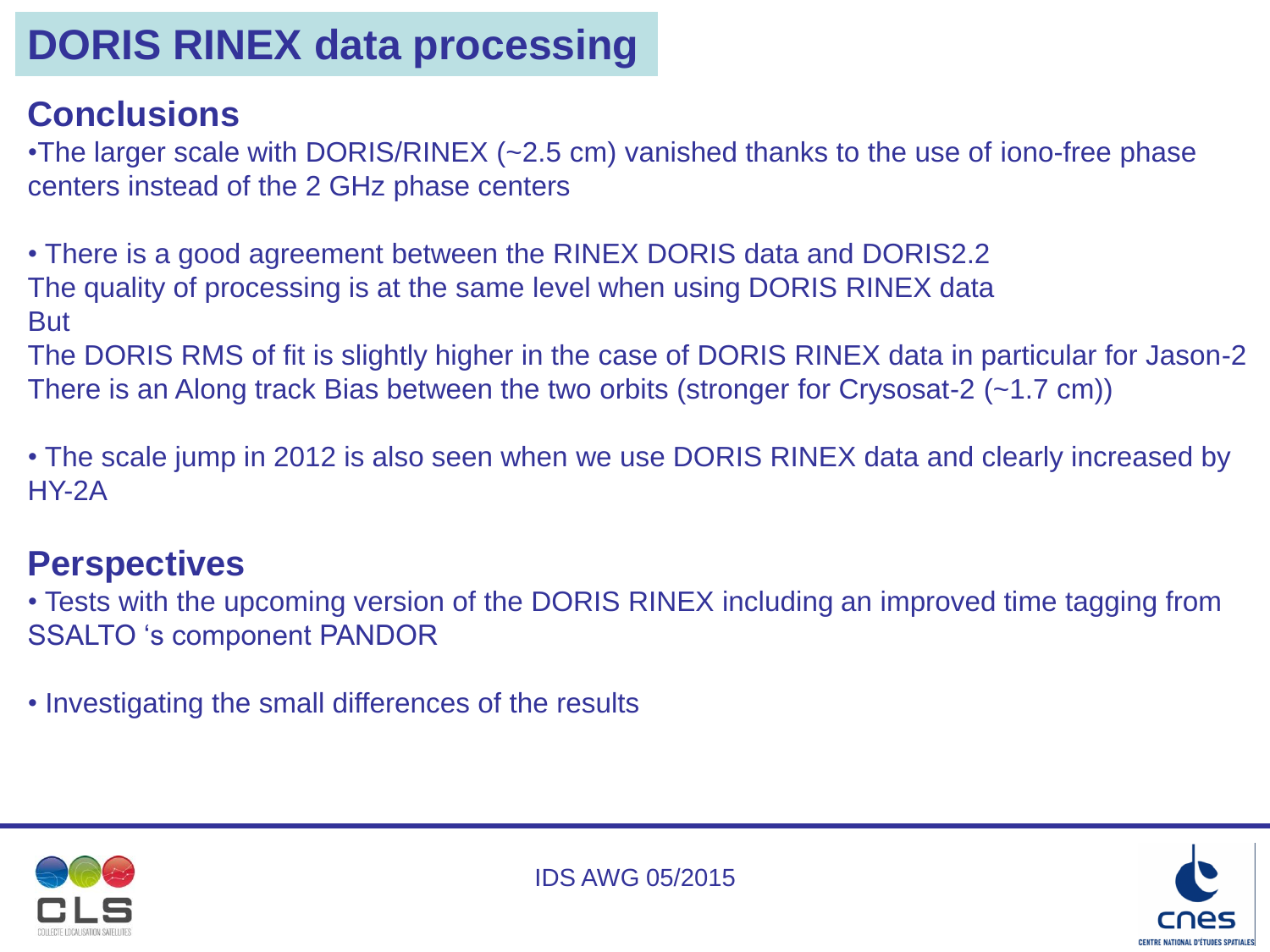## **DORIS RINEX data processing**

#### **Conclusions**

•The larger scale with DORIS/RINEX (~2.5 cm) vanished thanks to the use of iono-free phase centers instead of the 2 GHz phase centers

• There is a good agreement between the RINEX DORIS data and DORIS2.2 The quality of processing is at the same level when using DORIS RINEX data But

The DORIS RMS of fit is slightly higher in the case of DORIS RINEX data in particular for Jason-2 There is an Along track Bias between the two orbits (stronger for Crysosat-2 (~1.7 cm))

• The scale jump in 2012 is also seen when we use DORIS RINEX data and clearly increased by HY-2A

#### **Perspectives**

• Tests with the upcoming version of the DORIS RINEX including an improved time tagging from SSALTO 's component PANDOR

• Investigating the small differences of the results